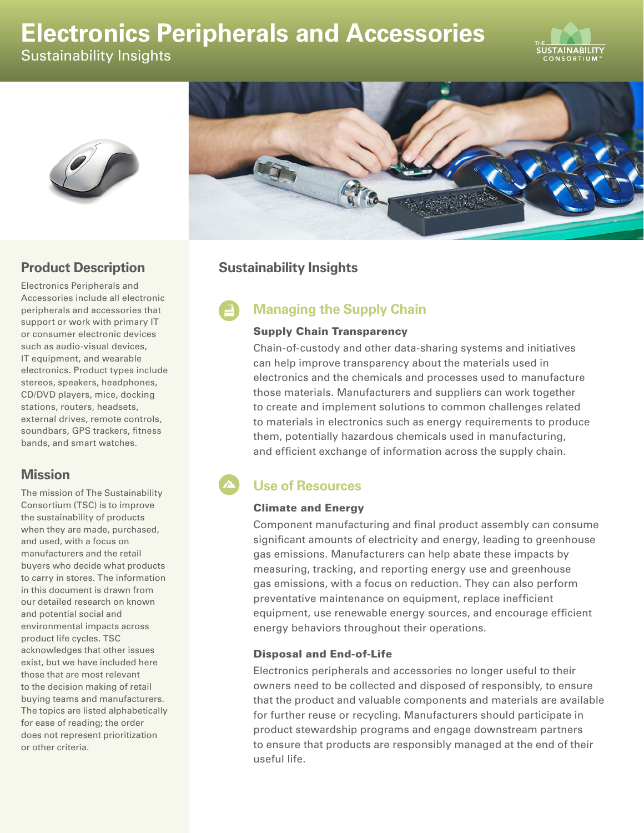# **Electronics Peripherals and Accessories**

Sustainability Insights







# **Product Description**

Electronics Peripherals and Accessories include all electronic peripherals and accessories that support or work with primary IT or consumer electronic devices such as audio-visual devices, IT equipment, and wearable electronics. Product types include stereos, speakers, headphones, CD/DVD players, mice, docking stations, routers, headsets, external drives, remote controls, soundbars, GPS trackers, fitness bands, and smart watches.

## **Mission**

The mission of The Sustainability Consortium (TSC) is to improve the sustainability of products when they are made, purchased, and used, with a focus on manufacturers and the retail buyers who decide what products to carry in stores. The information in this document is drawn from our detailed research on known and potential social and environmental impacts across product life cycles. TSC acknowledges that other issues exist, but we have included here those that are most relevant to the decision making of retail buying teams and manufacturers. The topics are listed alphabetically for ease of reading; the order does not represent prioritization or other criteria.

## **Sustainability Insights**

# **Managing the Supply Chain**

#### Supply Chain Transparency

Chain-of-custody and other data-sharing systems and initiatives can help improve transparency about the materials used in electronics and the chemicals and processes used to manufacture those materials. Manufacturers and suppliers can work together to create and implement solutions to common challenges related to materials in electronics such as energy requirements to produce them, potentially hazardous chemicals used in manufacturing, and efficient exchange of information across the supply chain.

# **Use of Resources**

#### Climate and Energy

Component manufacturing and final product assembly can consume significant amounts of electricity and energy, leading to greenhouse gas emissions. Manufacturers can help abate these impacts by measuring, tracking, and reporting energy use and greenhouse gas emissions, with a focus on reduction. They can also perform preventative maintenance on equipment, replace inefficient equipment, use renewable energy sources, and encourage efficient energy behaviors throughout their operations.

#### Disposal and End-of-Life

Electronics peripherals and accessories no longer useful to their owners need to be collected and disposed of responsibly, to ensure that the product and valuable components and materials are available for further reuse or recycling. Manufacturers should participate in product stewardship programs and engage downstream partners to ensure that products are responsibly managed at the end of their useful life.